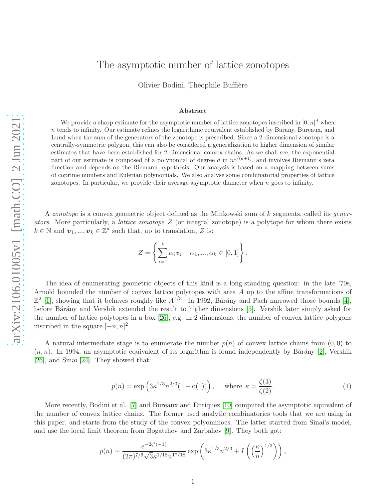# The asymptotic number of lattice zonotopes

Olivier Bodini, Théophile Buffière

#### Abstract

We provide a sharp estimate for the asymptotic number of lattice zonotopes inscribed in  $[0, n]^d$  when  $n$  tends to infinity. Our estimate refines the logarithmic equivalent established by Barany, Bureaux, and Lund when the sum of the generators of the zonotope is prescribed. Since a 2-dimensional zonotope is a centrally-symmetric polygon, this can also be considered a generalization to higher dimension of similar estimates that have been established for 2-dimensional convex chains. As we shall see, the exponential part of our estimate is composed of a polynomial of degree d in  $n^{1/(d+1)}$ , and involves Riemann's zeta function and depends on the Riemann hypothesis. Our analysis is based on a mapping between sums of coprime numbers and Eulerian polynomials. We also analyse some combinatorial properties of lattice zonotopes. In particular, we provide their average asymptotic diameter when n goes to infinity.

A zonotope is a convex geometric object defined as the Minkowski sum of k segments, called its generators. More particularly, a *lattice zonotope*  $Z$  (or integral zonotope) is a polytope for whom there exists  $k \in \mathbb{N}$  and  $\boldsymbol{v}_1, ..., \boldsymbol{v}_k \in \mathbb{Z}^d$  such that, up to translation, Z is:

$$
Z = \left\{ \sum_{i=1}^{k} \alpha_i \mathbf{v}_i \mid \alpha_1, ..., \alpha_k \in [0,1] \right\}.
$$

The idea of enumerating geometric objects of this kind is a long-standing question: in the late '70s, Arnold bounded the number of convex lattice polytopes with area A up to the affine transformations of  $\mathbb{Z}^2$  [\[1\]](#page-18-0), showing that it behaves roughly like  $A^{1/3}$ . In 1992, Bárány and Pach narrowed those bounds [\[4\]](#page-18-1), before Bárány and Vershik extended the result to higher dimensions [\[5\]](#page-18-2). Vershik later simply asked for the number of lattice polytopes in a box [\[26\]](#page-19-0); e.g. in 2 dimensions, the number of convex lattice polygons inscribed in the square  $[-n, n]^2$ .

A natural intermediate stage is to enumerate the number  $p(n)$  of convex lattice chains from  $(0,0)$  to  $(n, n)$ . In 1994, an asymptotic equivalent of its logarithm is found independently by Bárány [\[2\]](#page-18-3), Vershik [\[26\]](#page-19-0), and Sinai [\[24\]](#page-19-1). They showed that:

<span id="page-0-0"></span>
$$
p(n) = \exp\left(3\kappa^{1/3}n^{2/3}(1+o(1))\right), \quad \text{where } \kappa = \frac{\zeta(3)}{\zeta(2)}.
$$
 (1)

More recently, Bodini et al. [\[7\]](#page-19-2) and Bureaux and Enriquez [\[10\]](#page-19-3) computed the asymptotic equivalent of the number of convex lattice chains. The former used analytic combinatorics tools that we are using in this paper, and starts from the study of the convex polyominoes. The latter started from Sinai's model, and use the local limit theorem from Bogatchev and Zarbaliev [\[9\]](#page-19-4). They both got:

$$
p(n) \sim \frac{e^{-2\zeta'(-1)}}{(2\pi)^{7/6}\sqrt{3}\kappa^{1/18}n^{17/18}} \exp\left(3\kappa^{1/3}n^{2/3} + I\left(\left(\frac{\kappa}{n}\right)^{1/3}\right)\right),\,
$$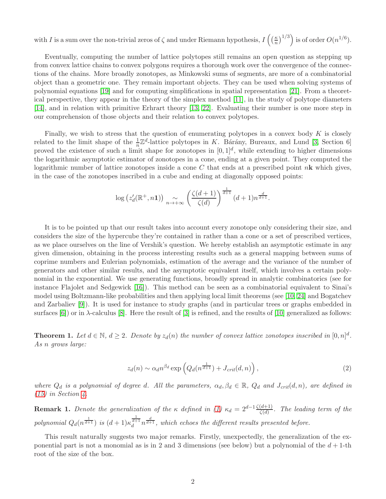with I is a sum over the non-trivial zeros of  $\zeta$  and under Riemann hypothesis,  $I\left(\frac{\kappa}{n}\right)$  $\left(\frac{\kappa}{n}\right)^{1/3}$  is of order  $O(n^{1/6})$ .

Eventually, computing the number of lattice polytopes still remains an open question as stepping up from convex lattice chains to convex polygons requires a thorough work over the convergence of the connections of the chains. More broadly zonotopes, as Minkowski sums of segments, are more of a combinatorial object than a geometric one. They remain important objects. They can be used when solving systems of polynomial equations [\[19\]](#page-19-5) and for computing simplifications in spatial representation [\[21\]](#page-19-6). From a theoretical perspective, they appear in the theory of the simplex method [\[11\]](#page-19-7), in the study of polytope diameters [\[14\]](#page-19-8), and in relation with primitive Erhrart theory [\[13,](#page-19-9) [22\]](#page-19-10). Evaluating their number is one more step in our comprehension of those objects and their relation to convex polytopes.

Finally, we wish to stress that the question of enumerating polytopes in a convex body  $K$  is closely related to the limit shape of the  $\frac{1}{n}\mathbb{Z}^d$ -lattice polytopes in K. Bárány, Bureaux, and Lund [\[3,](#page-18-4) Section 6] proved the existence of such a limit shape for zonotopes in  $[0,1]^d$ , while extending to higher dimensions the logarithmic asymptotic estimator of zonotopes in a cone, ending at a given point. They computed the logarithmic number of lattice zonotopes inside a cone C that ends at a prescribed point  $n\mathbf{k}$  which gives, in the case of the zonotopes inscribed in a cube and ending at diagonally opposed points:

$$
\log\left(z_d'(\mathbb{R}^+, n\mathbf{1})\right) \underset{n\to+\infty}{\sim} \left(\frac{\zeta(d+1)}{\zeta(d)}\right)^{\frac{1}{d+1}} (d+1) n^{\frac{d}{d+1}}.
$$

It is to be pointed up that our result takes into account every zonotope only considering their size, and considers the size of the hypercube they're contained in rather than a cone or a set of prescribed vertices, as we place ourselves on the line of Vershik's question. We hereby establish an asymptotic estimate in any given dimension, obtaining in the process interesting results such as a general mapping between sums of coprime numbers and Eulerian polynomials, estimation of the average and the variance of the number of generators and other similar results, and the asymptotic equivalent itself, which involves a certain polynomial in the exponential. We use generating functions, broadly spread in analytic combinatorics (see for instance Flajolet and Sedgewick [\[16\]](#page-19-11)). This method can be seen as a combinatorial equivalent to Sinai's model using Boltzmann-like probabilities and then applying local limit theorems (see [\[10,](#page-19-3) [24\]](#page-19-1) and Bogatchev and Zarbaliev [\[9\]](#page-19-4)). It is used for instance to study graphs (and in particular trees or graphs embedded in surfaces  $[6]$  or in  $\lambda$ -calculus  $[8]$ . Here the result of  $[3]$  is refined, and the results of  $[10]$  generalized as follows:

<span id="page-1-0"></span>**Theorem 1.** Let  $d \in \mathbb{N}$ ,  $d \geq 2$ . Denote by  $z_d(n)$  the number of convex lattice zonotopes inscribed in  $[0,n]^d$ . As n grows large:

$$
z_d(n) \sim \alpha_d n^{\beta_d} \exp\left(Q_d(n^{\frac{1}{d+1}}) + J_{crit}(d,n)\right),\tag{2}
$$

where  $Q_d$  is a polynomial of degree d. All the parameters,  $\alpha_d, \beta_d \in \mathbb{R}$ ,  $Q_d$  and  $J_{crit}(d, n)$ , are defined in  $(15)$  in Section [4.](#page-11-0)

**Remark 1.** Denote the generalization of the  $\kappa$  defined in [\(1\)](#page-0-0)  $\kappa_d = 2^{d-1} \frac{\zeta(d+1)}{\zeta(d)}$ . The leading term of the polynomial  $Q_d(n^{\frac{1}{d+1}})$  is  $(d+1)\kappa_d^{\frac{1}{d+1}}n^{\frac{d}{d+1}}$ , which echoes the different results presented before.

This result naturally suggests two major remarks. Firstly, unexpectedly, the generalization of the exponential part is not a monomial as is in 2 and 3 dimensions (see below) but a polynomial of the  $d+1$ -th root of the size of the box.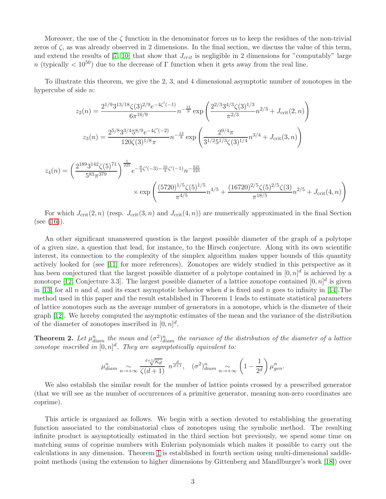Moreover, the use of the  $\zeta$  function in the denominator forces us to keep the residues of the non-trivial zeros of  $\zeta$ , as was already observed in 2 dimensions. In the final section, we discuss the value of this term, and extend the results of  $[7, 10]$  $[7, 10]$  that show that  $J_{crit}$  is negligible in 2 dimensions for "computably" large n (typically  $\langle 10^{50} \rangle$  due to the decrease of Γ function when it gets away from the real line.

To illustrate this theorem, we give the 2, 3, and 4 dimensional asymptotic number of zonotopes in the hypercube of side n:

$$
z_2(n) = \frac{2^{1/9} 3^{13/18} \zeta(3)^{2/9} e^{-4\zeta'(-1)}}{6\pi^{16/9}} n^{-\frac{11}{9}} \exp\left(\frac{2^{2/3} 3^{4/3} \zeta(3)^{1/3}}{\pi^{2/3}} n^{2/3} + J_{\text{crit}}(2, n)\right)
$$

$$
z_3(n) = \frac{2^{5/8} 3^{3/4} 5^{8/9} e^{-4\zeta'(-2)}}{120 \zeta(3)^{1/8} \pi} n^{-\frac{13}{8}} \exp\left(\frac{2^{9/4} \pi}{3^{1/2} 5^{1/3} \zeta(3)^{1/4}} n^{3/4} + J_{\text{crit}}(3, n)\right)
$$

$$
z_4(n) = \left(\frac{2^{189}3^{142}\zeta(5)^{71}}{5^{83}\pi^{379}}\right)^{\frac{1}{225}} e^{-\frac{8}{3}\zeta'(-3) - \frac{16}{3}\zeta'(-1)} n^{-\frac{521}{225}}
$$
  
\$\times \exp\left(\frac{(5720)^{1/5}\zeta(5)^{1/5}}{\pi^{4/5}}n^{4/5} + \frac{(16720)^{2/5}\zeta(5)^{2/5}\zeta(3)}{\pi^{18/5}}n^{2/5} + J\_{\text{crit}}(4, n)\right)\$

For which  $J_{\text{crit}}(2, n)$  (resp.  $J_{\text{crit}}(3, n)$  and  $J_{\text{crit}}(4, n)$ ) are numerically approximated in the final Section  $(see (16)).$  $(see (16)).$  $(see (16)).$ 

An other significant unanswered question is the largest possible diameter of the graph of a polytope of a given size, a question that lead, for instance, to the Hirsch conjecture. Along with its own scientific interest, its connection to the complexity of the simplex algorithm makes upper bounds of this quantity actively looked for (see [\[11\]](#page-19-7) for more references). Zonotopes are widely studied in this perspective as it has been conjectured that the largest possible diameter of a polytope contained in  $[0,n]^d$  is achieved by a zonotope [\[12,](#page-19-13) Conjecture 3.3]. The largest possible diameter of a lattice zonotope contained  $[0,n]^d$  is given in [\[13\]](#page-19-9) for all n and d, and its exact asymptotic behavior when d is fixed and n goes to infinity in [\[14\]](#page-19-8). The method used in this paper and the result established in Theorem 1 leads to estimate statistical parameters of lattice zonotopes such as the average number of generators in a zonotope, which is the diameter of their graph [\[12\]](#page-19-13). We hereby computed the asymptotic estimates of the mean and the variance of the distribution of the diameter of zonotopes inscribed in  $[0, n]^d$ .

<span id="page-2-0"></span>**Theorem 2.** Let  $\mu_{diam}^n$  the mean and  $(\sigma^2)_{diam}^n$  the variance of the distribution of the diameter of a lattice zonotope inscribed in  $[0,n]^d$ . They are asymptotically equivalent to:

$$
\mu_{diam}^n \underset{n \to +\infty}{\sim} \frac{d + \sqrt[n]{\kappa_d}}{\zeta(d+1)} n^{\frac{d}{d+1}}, \quad (\sigma^2)_{diam}^n \underset{n \to +\infty}{\sim} \left(1 - \frac{1}{2^d}\right) \mu_{gen}^n.
$$

We also establish the similar result for the number of lattice points crossed by a prescribed generator (that we will see as the number of occurrences of a primitive generator, meaning non-zero coordinates are coprime).

This article is organized as follows. We begin with a section devoted to establishing the generating function associated to the combinatorial class of zonotopes using the symbolic method. The resulting infinite product is asymptotically estimated in the third section but previously, we spend some time on matching sums of coprime numbers with Eulerian polynomials which makes it possible to carry out the calculations in any dimension. Theorem [1](#page-1-0) is established in fourth section using multi-dimensional saddlepoint methods (using the extension to higher dimensions by Gittenberg and Mandlburger's work [\[18\]](#page-19-14)) over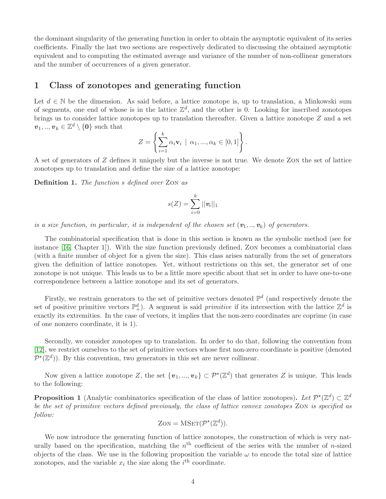the dominant singularity of the generating function in order to obtain the asymptotic equivalent of its series coefficients. Finally the last two sections are respectively dedicated to discussing the obtained asymptotic equivalent and to computing the estimated average and variance of the number of non-collinear generators and the number of occurrences of a given generator.

### 1 Class of zonotopes and generating function

Let  $d \in \mathbb{N}$  be the dimension. As said before, a lattice zonotope is, up to translation, a Minkowski sum of segments, one end of whose is in the lattice  $\mathbb{Z}^d$ , and the other is 0. Looking for inscribed zonotopes brings us to consider lattice zonotopes up to translation thereafter. Given a lattice zonotope Z and a set  $v_1, ..., v_k \in \mathbb{Z}^d \setminus \{0\}$  such that

$$
Z = \left\{ \sum_{i=1}^k \alpha_i \mathbf{v}_i \mid \alpha_1, ..., \alpha_k \in [0,1] \right\}.
$$

A set of generators of Z defines it uniquely but the inverse is not true. We denote Zon the set of lattice zonotopes up to translation and define the size of a lattice zonotope:

Definition 1. The function s defined over ZON as

$$
s(Z) = \sum_{i=0}^k ||\boldsymbol{v}_i||_1
$$

is a size function, in particular, it is independent of the chosen set  $(v_1, ..., v_k)$  of generators.

The combinatorial specification that is done in this section is known as the symbolic method (see for instance [\[16,](#page-19-11) Chapter 1]). With the size function previously defined, Zon becomes a combinatorial class (with a finite number of object for a given the size). This class arises naturally from the set of generators given the definition of lattice zonotopes. Yet, without restrictions on this set, the generator set of one zonotope is not unique. This leads us to be a little more specific about that set in order to have one-to-one correspondence between a lattice zonotope and its set of generators.

Firstly, we restrain generators to the set of primitive vectors denoted  $\mathbb{P}^d$  (and respectively denote the set of positive primitive vectors  $\mathbb{P}^d_+$ ). A segment is said *primitive* if its intersection with the lattice  $\mathbb{Z}^d$  is exactly its extremities. In the case of vectors, it implies that the non-zero coordinates are coprime (in case of one nonzero coordinate, it is 1).

Secondly, we consider zonotopes up to translation. In order to do that, following the convention from [\[12\]](#page-19-13), we restrict ourselves to the set of primitive vectors whose first non-zero coordinate is positive (denoted  $\mathcal{P}^{\star}(\mathbb{Z}^d)$ ). By this convention, two generators in this set are never collinear.

Now given a lattice zonotope Z, the set  $\{v_1, ..., v_k\} \subset \mathcal{P}^{\star}(\mathbb{Z}^d)$  that generates Z is unique. This leads to the following:

**Proposition 1** (Analytic combinatorics specification of the class of lattice zonotopes). Let  $\mathcal{P}^{\star}(\mathbb{Z}^d) \subset \mathbb{Z}^d$ be the set of primitive vectors defined previously, the class of lattice convex zonotopes Zon is specified as follow:

$$
ZON = MSET(\mathcal{P}^*(\mathbb{Z}^d)).
$$

We now introduce the generating function of lattice zonotopes, the construction of which is very naturally based on the specification, matching the  $n<sup>th</sup>$  coefficient of the series with the number of n-sized objects of the class. We use in the following proposition the variable  $\omega$  to encode the total size of lattice zonotopes, and the variable  $x_i$  the size along the  $i^{\text{th}}$  coordinate.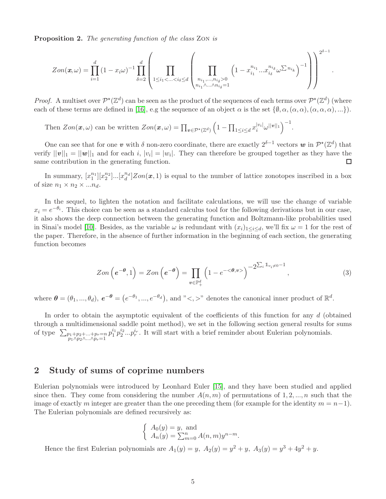Proposition 2. The generating function of the class ZON is

$$
Zon(\mathbf{x},\omega) = \prod_{i=1}^d \left(1 - x_i \omega\right)^{-1} \prod_{\delta=2}^d \left(\prod_{\substack{1 \le i_1 < \ldots < i_\delta \le d \\ n_i_1, \ldots, n_i_\delta > 0}} \left(1 - x_{i_1}^{n_{i_1}} \ldots x_{i_\delta}^{n_{i_\delta}} \omega^{\sum n_{i_k}}\right)^{-1}\right)\right)^{2^{\delta-1}}
$$

.

*Proof.* A multiset over  $\mathcal{P}^{\star}(\mathbb{Z}^d)$  can be seen as the product of the sequences of each terms over  $\mathcal{P}^{\star}(\mathbb{Z}^d)$  (where each of these terms are defined in [\[16\]](#page-19-11), e.g the sequence of an object  $\alpha$  is the set  $\{\emptyset, \alpha, (\alpha, \alpha), (\alpha, \alpha, \alpha), ...\}$ .

Then  $Zon(\mathbf{x}, \omega)$  can be written  $Zon(\mathbf{x}, \omega) = \prod_{\mathbf{v} \in \mathcal{P}^{\star}(\mathbb{Z}^d)}$  $\Big(1 - \prod_{1 \leq i \leq d} x_i^{|v_i|} \omega^{||v||_1} \Big)^{-1}.$ 

One can see that for one v with  $\delta$  non-zero coordinate, there are exactly  $2^{\delta-1}$  vectors w in  $\mathcal{P}^\star(\mathbb{Z}^d)$  that verify  $||\mathbf{v}||_1 = ||\mathbf{w}||_1$  and for each i,  $|v_i| = |w_i|$ . They can therefore be grouped together as they have the same contribution in the generating function.

In summary,  $[x_1^{n_1}][x_2^{n_2}]\dots[x_d^{n_d}]\text{Zon}(\mathbf{x},1)$  is equal to the number of lattice zonotopes inscribed in a box of size  $n_1 \times n_2 \times ... n_d$ .

In the sequel, to lighten the notation and facilitate calculations, we will use the change of variable  $x_i = e^{-\theta_i}$ . This choice can be seen as a standard calculus tool for the following derivations but in our case, it also shows the deep connection between the generating function and Boltzmann-like probabilities used in Sinai's model [\[10\]](#page-19-3). Besides, as the variable  $\omega$  is redundant with  $(x_i)_{1\leq i\leq d}$ , we'll fix  $\omega = 1$  for the rest of the paper. Therefore, in the absence of further information in the beginning of each section, the generating function becomes

$$
Zon\left(e^{-\theta},1\right) = Zon\left(e^{-\theta}\right) = \prod_{v \in \mathbb{P}_+^d} \left(1 - e^{-\langle \theta, v \rangle}\right)^{-2\sum_i 1_{v_i \neq 0} - 1},\tag{3}
$$

where  $\boldsymbol{\theta} = (\theta_1, ..., \theta_d), \ e^{-\boldsymbol{\theta}} = (e^{-\theta_1}, ..., e^{-\theta_d}), \text{ and } \degree < \gg \degree$  denotes the canonical inner product of  $\mathbb{R}^d$ .

In order to obtain the asymptotic equivalent of the coefficients of this function for any d (obtained through a multidimensional saddle point method), we set in the following section general results for sums of type  $\sum_{\substack{p_1+p_2+\ldots+p_r=n\\p_1\wedge p_2\wedge\ldots\wedge p_r=1}}$  $p_1^{i_1} p_2^{i_2} \dots p_r^{i_r}$ . It will start with a brief reminder about Eulerian polynomials.

# <span id="page-4-0"></span>2 Study of sums of coprime numbers

Eulerian polynomials were introduced by Leonhard Euler [\[15\]](#page-19-15), and they have been studied and applied since then. They come from considering the number  $A(n, m)$  of permutations of 1, 2, ..., n such that the image of exactly m integer are greater than the one preceding them (for example for the identity  $m = n-1$ ). The Eulerian polynomials are defined recursively as:

$$
\begin{cases}\nA_0(y) = y, \text{ and} \\
A_n(y) = \sum_{m=0}^n A(n,m) y^{n-m}.\n\end{cases}
$$

Hence the first Eulerian polynomials are  $A_1(y) = y$ ,  $A_2(y) = y^2 + y$ ,  $A_3(y) = y^3 + 4y^2 + y$ .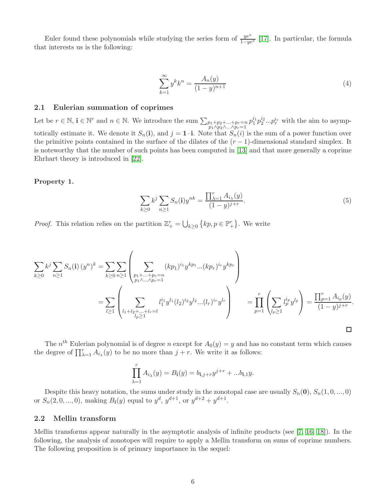Euler found these polynomials while studying the series form of  $\frac{ye^x}{1-ye^x}$  [\[17\]](#page-19-16). In particular, the formula that interests us is the following:

$$
\sum_{k=1}^{\infty} y^k k^n = \frac{A_n(y)}{(1-y)^{n+1}} \tag{4}
$$

### 2.1 Eulerian summation of coprimes

Let be  $r \in \mathbb{N}$ ,  $\mathbf{i} \in \mathbb{N}^r$  and  $n \in \mathbb{N}$ . We introduce the sum  $\sum_{\substack{p_1+p_2+\ldots+p_r=n\\p_1 \wedge p_2 \wedge \ldots \wedge p_r=1}}$  $p_1^{i_1}p_2^{i_2}...p_r^{i_r}$  with the aim to asymptotically estimate it. We denote it  $S_n(i)$ , and  $j = 1 \cdot i$ . Note that  $S_n(i)$  is the sum of a power function over the primitive points contained in the surface of the dilates of the  $(r-1)$ -dimensional standard simplex. It is noteworthy that the number of such points has been computed in [\[13\]](#page-19-9) and that more generally a coprime Ehrhart theory is introduced in [\[22\]](#page-19-10).

### <span id="page-5-0"></span>Property 1.

$$
\sum_{k\geq 0} k^j \sum_{n\geq 1} S_n(\mathbf{i}) y^{nk} = \frac{\prod_{\lambda=1}^r A_{i_\lambda}(y)}{(1-y)^{j+r}}.
$$
\n(5)

*Proof.* This relation relies on the partition  $\mathbb{Z}_{+}^{r} = \bigcup_{k \geq 0} \{kp, p \in \mathbb{P}_{+}^{r}\}\.$  We write

$$
\sum_{k\geq 0} k^{j} \sum_{n\geq 1} S_{n}(\mathbf{i}) (y^{n})^{k} = \sum_{k\geq 0} \sum_{n\geq 1} \left( \sum_{\substack{p_{1}+\dots+p_{r}=n \\ p_{1}\lambda\dots\lambda p_{r}=1}} (kp_{1})^{i_{1}} y^{kp_{1}} \dots (kp_{r})^{i_{r}} y^{kp_{r}} \right)
$$
\n
$$
= \sum_{l\geq 1} \left( \sum_{\substack{l_{1}+l_{2}+\dots+l_{r}=l \\ l_{p}\geq 1}} l_{1}^{i_{1}} y^{l_{1}} (l_{2})^{i_{2}} y^{l_{2}} \dots (l_{r})^{i_{r}} y^{l_{r}} \right) = \prod_{p=1}^{r} \left( \sum_{l_{p}\geq 1} l_{p}^{i_{p}} y^{l_{p}} \right) = \frac{\prod_{p=1}^{r} A_{i_{p}}(y)}{(1-y)^{j+r}}.
$$

The  $n^{th}$  Eulerian polynomial is of degree n except for  $A_0(y) = y$  and has no constant term which causes the degree of  $\prod_{\lambda=1}^r A_{i_\lambda}(y)$  to be no more than  $j+r$ . We write it as follows:

$$
\prod_{\lambda=1}^r A_{i_{\lambda}}(y) = B_{\mathbf{i}}(y) = b_{\mathbf{i},j+r} y^{j+r} + ... b_{\mathbf{i},1} y.
$$

Despite this heavy notation, the sums under study in the zonotopal case are usually  $S_n(\mathbf{0}), S_n(1, 0, ..., 0)$ or  $S_n(2,0,...,0)$ , making  $B_i(y)$  equal to  $y^d$ ,  $y^{d+1}$ , or  $y^{d+2} + y^{d+1}$ .

### 2.2 Mellin transform

Mellin transforms appear naturally in the asymptotic analysis of infinite products (see [\[7,](#page-19-2) [16,](#page-19-11) [18\]](#page-19-14)). In the following, the analysis of zonotopes will require to apply a Mellin transform on sums of coprime numbers. The following proposition is of primary importance in the sequel: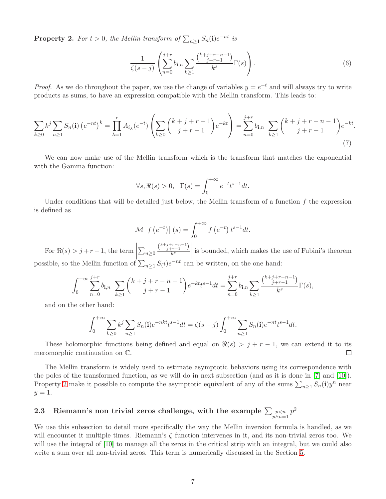<span id="page-6-0"></span>**Property 2.** For  $t > 0$ , the Mellin transform of  $\sum_{n\geq 1} S_n(\mathbf{i})e^{-nt}$  is

$$
\frac{1}{\zeta(s-j)}\left(\sum_{n=0}^{j+r}b_{\mathbf{i},n}\sum_{k\geq 1}\frac{\binom{k+j+r-n-1}{j+r-1}}{k^s}\Gamma(s)\right).
$$
\n
$$
(6)
$$

.

*Proof.* As we do throughout the paper, we use the change of variables  $y = e^{-t}$  and will always try to write products as sums, to have an expression compatible with the Mellin transform. This leads to:

$$
\sum_{k\geq 0} k^{j} \sum_{n\geq 1} S_{n}(\mathbf{i}) \left( e^{-nt} \right)^{k} = \prod_{\lambda=1}^{r} A_{i_{\lambda}}(e^{-t}) \left( \sum_{k\geq 0} {k+j+r-1 \choose j+r-1} e^{-kt} \right) = \sum_{n=0}^{j+r} b_{\mathbf{i},n} \sum_{k\geq 1} {k+j+r-n-1 \choose j+r-1} e^{-kt}
$$
\n(7)

We can now make use of the Mellin transform which is the transform that matches the exponential with the Gamma function:

$$
\forall s, \Re(s) > 0, \ \Gamma(s) = \int_0^{+\infty} e^{-t} t^{s-1} dt.
$$

Under conditions that will be detailed just below, the Mellin transform of a function  $f$  the expression is defined as

$$
\mathcal{M}\left[f\left(e^{-t}\right)\right](s) = \int_0^{+\infty} f\left(e^{-t}\right) t^{s-1} dt.
$$

For  $\Re(s) > j + r - 1$ , the term  $\sum_{n\geq 0}$  $\binom{k+j+r-n-1}{j+r-1}$ k s is bounded, which makes the use of Fubini's theorem possible, so the Mellin function of  $\sum_{n\geq 1} S(i)e^{-nt}$  can be written, on the one hand:

$$
\int_0^{+\infty} \sum_{n=0}^{j+r} b_{\mathbf{i},n} \sum_{k\geq 1} {k+j+r-n-1 \choose j+r-1} e^{-kt} t^{s-1} dt = \sum_{n=0}^{j+r} b_{\mathbf{i},n} \sum_{k\geq 1} \frac{{k+j+r-n-1 \choose j+r-1}}{k^s} \Gamma(s),
$$

and on the other hand:

$$
\int_0^{+\infty} \sum_{k\geq 0} k^j \sum_{n\geq 1} S_n(\mathbf{i}) e^{-nkt} t^{s-1} dt = \zeta(s-j) \int_0^{+\infty} \sum_{n\geq 1} S_n(\mathbf{i}) e^{-nt} t^{s-1} dt.
$$

These holomorphic functions being defined and equal on  $\Re(s) > j + r - 1$ , we can extend it to its comorphic continuation on  $\mathbb{C}$ . meromorphic continuation on C.

The Mellin transform is widely used to estimate asymptotic behaviors using its correspondence with the poles of the transformed function, as we will do in next subsection (and as it is done in [\[7\]](#page-19-2) and [\[10\]](#page-19-3)). Property [2](#page-6-0) make it possible to compute the asymptotic equivalent of any of the sums  $\sum_{n\geq 1} S_n(i) y^n$  near  $y=1$ .

# 2.3 Riemann's non trivial zeros challenge, with the example  $\sum_{p \leq n} p^2$

We use this subsection to detail more specifically the way the Mellin inversion formula is handled, as we will encounter it multiple times. Riemann's  $\zeta$  function intervenes in it, and its non-trivial zeros too. We will use the integral of [\[10\]](#page-19-3) to manage all the zeros in the critical strip with an integral, but we could also write a sum over all non-trivial zeros. This term is numerically discussed in the Section [5.](#page-15-1)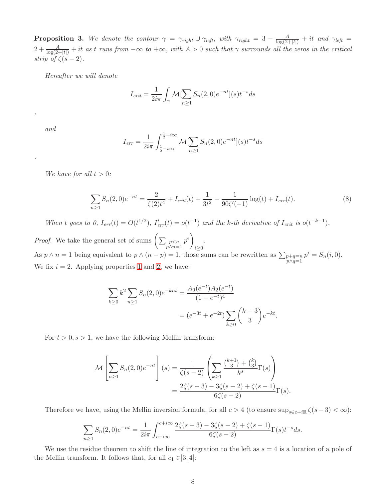**Proposition 3.** We denote the contour  $\gamma = \gamma_{right} \cup \gamma_{left}$ , with  $\gamma_{right} = 3 - \frac{A}{\log(2+|t|)} + it$  and  $\gamma_{left} =$  $2+\frac{A}{\log(2+|t|)}+it$  as t runs from  $-\infty$  to  $+\infty$ , with  $A>0$  such that  $\gamma$  surrounds all the zeros in the critical strip of  $\zeta(s-2)$ .

Hereafter we will denote

$$
I_{crit} = \frac{1}{2i\pi} \int_{\gamma} \mathcal{M}[\sum_{n\geq 1} S_n(2,0)e^{-nt}](s)t^{-s}ds
$$

and

,

.

$$
I_{err} = \frac{1}{2i\pi} \int_{\frac{1}{2} - i\infty}^{\frac{1}{2} + i\infty} \mathcal{M}[\sum_{n \ge 1} S_n(2, 0)e^{-nt}](s)t^{-s}ds
$$

We have for all  $t > 0$ :

$$
\sum_{n\geq 1} S_n(2,0)e^{-nt} = \frac{2}{\zeta(2)t^4} + I_{crit}(t) + \frac{1}{3t^2} - \frac{1}{90\zeta'(-1)}\log(t) + I_{err}(t).
$$
\n(8)

When t goes to 0,  $I_{err}(t) = O(t^{1/2})$ ,  $I'_{err}(t) = o(t^{-1})$  and the k-th derivative of  $I_{crit}$  is  $o(t^{-k-1})$ .

*Proof.* We take the general set of sums  $\left(\sum_{\substack{p < n \\ p \wedge n=1}} p^i\right)$  $i \geq 0$ . As  $p \wedge n = 1$  being equivalent to  $p \wedge (n - p) = 1$ , those sums can be rewritten as  $\sum_{\substack{p+q=n \ p \wedge q=1}}$  $p^i = S_n(i, 0).$ We fix  $i = 2$ . Applying properties [1](#page-5-0) and [2,](#page-6-0) we have:

$$
\sum_{k\geq 0} k^2 \sum_{n\geq 1} S_n(2,0)e^{-knt} = \frac{A_0(e^{-t})A_2(e^{-t})}{(1-e^{-t})^4}
$$

$$
= (e^{-3t} + e^{-2t}) \sum_{k\geq 0} {k+3 \choose 3} e^{-kt}.
$$

For  $t > 0, s > 1$ , we have the following Mellin transform:

$$
\mathcal{M}\left[\sum_{n\geq 1} S_n(2,0)e^{-nt}\right](s) = \frac{1}{\zeta(s-2)} \left(\sum_{k\geq 1} \frac{\binom{k+1}{3} + \binom{k}{3}}{k^s} \Gamma(s)\right)
$$

$$
= \frac{2\zeta(s-3) - 3\zeta(s-2) + \zeta(s-1)}{6\zeta(s-2)} \Gamma(s).
$$

Therefore we have, using the Mellin inversion formula, for all  $c > 4$  (to ensure  $\sup_{s \in c+i\mathbb{R}} \zeta(s-3) < \infty$ ):

$$
\sum_{n\geq 1} S_n(2,0)e^{-nt} = \frac{1}{2i\pi} \int_{c-i\infty}^{c+i\infty} \frac{2\zeta(s-3) - 3\zeta(s-2) + \zeta(s-1)}{6\zeta(s-2)} \Gamma(s) t^{-s} ds.
$$

We use the residue theorem to shift the line of integration to the left as  $s = 4$  is a location of a pole of the Mellin transform. It follows that, for all  $c_1 \in ]3, 4[$ :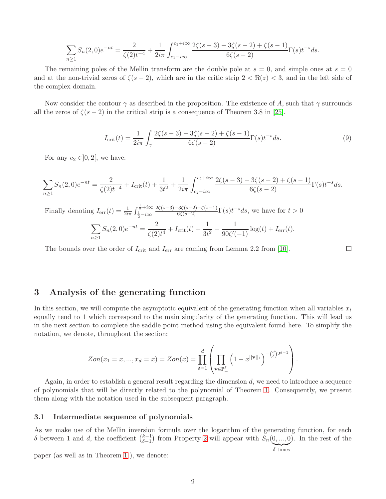$$
\sum_{n\geq 1} S_n(2,0)e^{-nt} = \frac{2}{\zeta(2)t^{-4}} + \frac{1}{2i\pi} \int_{c_1 - i\infty}^{c_1 + i\infty} \frac{2\zeta(s-3) - 3\zeta(s-2) + \zeta(s-1)}{6\zeta(s-2)} \Gamma(s)t^{-s}ds.
$$

The remaining poles of the Mellin transform are the double pole at  $s = 0$ , and simple ones at  $s = 0$ and at the non-trivial zeros of  $\zeta(s-2)$ , which are in the critic strip  $2 < \Re(z) < 3$ , and in the left side of the complex domain.

Now consider the contour  $\gamma$  as described in the proposition. The existence of A, such that  $\gamma$  surrounds all the zeros of  $\zeta(s-2)$  in the critical strip is a consequence of Theorem 3.8 in [\[25\]](#page-19-17).

$$
I_{\rm crit}(t) = \frac{1}{2i\pi} \int_{\gamma} \frac{2\zeta(s-3) - 3\zeta(s-2) + \zeta(s-1)}{6\zeta(s-2)} \Gamma(s) t^{-s} ds.
$$
 (9)

For any  $c_2 \in ]0,2[$ , we have:

$$
\sum_{n\geq 1} S_n(2,0)e^{-nt} = \frac{2}{\zeta(2)t^{-4}} + I_{\text{crit}}(t) + \frac{1}{3t^2} + \frac{1}{2i\pi} \int_{c_2 - i\infty}^{c_2 + i\infty} \frac{2\zeta(s-3) - 3\zeta(s-2) + \zeta(s-1)}{6\zeta(s-2)} \Gamma(s)t^{-s}ds.
$$

Finally denoting  $I_{\text{err}}(t) = \frac{1}{2i\pi} \int_{\frac{1}{2} - i\infty}^{\frac{1}{2} + i\infty}$  $\frac{2\zeta(s-3)-3\zeta(s-2)+\zeta(s-1)}{6\zeta(s-2)}\Gamma(s)t^{-s}ds$ , we have for  $t > 0$ 

$$
\sum_{n\geq 1} S_n(2,0)e^{-nt} = \frac{2}{\zeta(2)t^4} + I_{\text{crit}}(t) + \frac{1}{3t^2} - \frac{1}{90\zeta'(-1)}\log(t) + I_{\text{err}}(t).
$$

The bounds over the order of  $I_{\text{crit}}$  and  $I_{\text{err}}$  are coming from Lemma 2.2 from [\[10\]](#page-19-3).

# 3 Analysis of the generating function

In this section, we will compute the asymptotic equivalent of the generating function when all variables  $x_i$ equally tend to 1 which correspond to the main singularity of the generating function. This will lead us in the next section to complete the saddle point method using the equivalent found here. To simplify the notation, we denote, throughout the section:

$$
Zon(x_1 = x, ..., x_d = x) = Zon(x) = \prod_{\delta=1}^d \left( \prod_{\mathbf{v} \in \mathbb{P}_+^{\delta}} \left( 1 - x^{\|\mathbf{v}\|_1} \right)^{-(\frac{d}{\delta})2^{\delta - 1}} \right).
$$

Again, in order to establish a general result regarding the dimension  $d$ , we need to introduce a sequence of polynomials that will be directly related to the polynomial of Theorem [1.](#page-1-0) Consequently, we present them along with the notation used in the subsequent paragraph.

### 3.1 Intermediate sequence of polynomials

As we make use of the Mellin inversion formula over the logarithm of the generating function, for each δ between 1 and d, the coefficient  $\binom{k-1}{\delta-1}$  $\binom{k-1}{\delta-1}$  from Property [2](#page-6-0) will appear with  $S_n(0,...,0)$ ). In the rest of the

paper (as well as in Theorem [1](#page-1-0) ), we denote:

$$
\delta \times
$$
 times

 $\Box$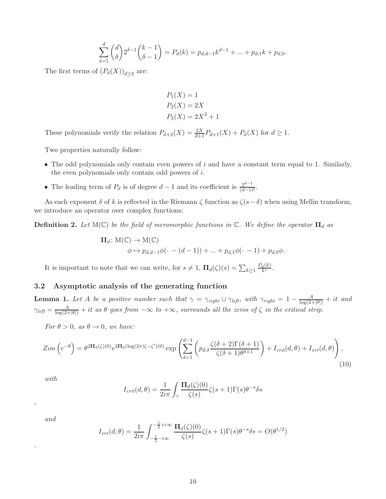$$
\sum_{\delta=1}^d \binom{d}{\delta} 2^{\delta-1} \binom{k-1}{\delta-1} = P_d(k) = p_{d,d-1} k^{d-1} + \dots + p_{d,1} k + p_{d,0}.
$$

The first terms of  $(P_d(X))_{d\geq 2}$  are:

$$
P_1(X) = 1
$$
  
\n
$$
P_2(X) = 2X
$$
  
\n
$$
P_3(X) = 2X^2 + 1
$$

These polynomials verify the relation  $P_{d+2}(X) = \frac{2X}{d+1}P_{d+1}(X) + P_d(X)$  for  $d \ge 1$ .

Two properties naturally follow:

- The odd polynomials only contain even powers of  $i$  and have a constant term equal to 1. Similarly, the even polynomials only contain odd powers of i.
- The leading term of  $P_d$  is of degree  $d-1$  and its coefficient is  $\frac{2^{d-1}}{(d-1)!}$ .

As each exponent  $\delta$  of k is reflected in the Riemann  $\zeta$  function as  $\zeta(s-\delta)$  when using Mellin transform, we introduce an operator over complex functions:

<span id="page-9-0"></span>**Definition 2.** Let  $M(\mathbb{C})$  be the field of meromorphic functions in  $\mathbb{C}$ . We define the operator  $\Pi_d$  as

$$
\Pi_d: M(\mathbb{C}) \to M(\mathbb{C})
$$
  

$$
\phi \mapsto p_{d,d-1}\phi(\cdot - (d-1)) + \dots + p_{d,1}\phi(\cdot - 1) + p_{d,0}\phi.
$$

It is important to note that we can write, for  $s \neq 1$ ,  $\Pi_d(\zeta)(s) = \sum_{k \geq 1} \frac{P_d(k)}{k^s}$  $\frac{d(K)}{k^s}$ .

### 3.2 Asymptotic analysis of the generating function

**Lemma 1.** Let A be a positive number such that  $\gamma = \gamma_{right} \cup \gamma_{left}$ , with  $\gamma_{right} = 1 - \frac{A}{\log(2+|\theta|)} + it$  and  $\gamma_{left} = \frac{A}{\log(2+|\theta|)} + it$  as  $\theta$  goes from  $-\infty$  to  $+\infty$ , surrounds all the zeros of  $\zeta$  in the critical strip.

For  $\theta > 0$ , as  $\theta \rightarrow 0$ , we have:

$$
Zon\left(e^{-\theta}\right) = \theta^{2\Pi_d(\zeta)(0)} e^{2\Pi_d(\log(2\pi)\zeta - \zeta')(0)} \exp\left(\sum_{\delta=1}^{d-1} \left(p_{d,\delta} \frac{\zeta(\delta+2)\Gamma(\delta+1)}{\zeta(\delta+1)\theta^{\delta+1}}\right) + I_{crit}(d,\theta) + I_{err}(d,\theta)\right),\tag{10}
$$

with

$$
I_{crit}(d,\theta) = \frac{1}{2i\pi} \int_{\gamma} \frac{\Pi_d(\zeta)(0)}{\zeta(s)} \zeta(s+1) \Gamma(s) \theta^{-s} \delta s
$$

and

,

.

$$
I_{err}(d,\theta) = \frac{1}{2i\pi} \int_{-\frac{1}{2}-i\infty}^{-\frac{1}{2}+i\infty} \frac{\Pi_d(\zeta)(0)}{\zeta(s)} \zeta(s+1) \Gamma(s) \theta^{-s} \delta s = O(\theta^{1/2})
$$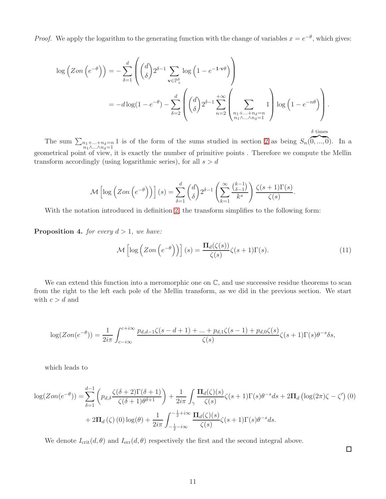*Proof.* We apply the logarithm to the generating function with the change of variables  $x = e^{-\theta}$ , which gives:

$$
\log (Zon(e^{-\theta})) = -\sum_{\delta=1}^{d} \left( \binom{d}{\delta} 2^{\delta-1} \sum_{\mathbf{v} \in \mathbb{P}_{+}^{\delta}} \log (1 - e^{-1 \cdot \mathbf{v}\theta}) \right)
$$
  
= 
$$
-d \log(1 - e^{-\theta}) - \sum_{\delta=2}^{d} \left( \binom{d}{\delta} 2^{\delta-1} \sum_{n=2}^{+\infty} \left( \sum_{\substack{n_1 + \dots + n_{\delta} = n \\ n_1 \wedge \dots \wedge n_{\delta} = 1}} 1 \right) \log (1 - e^{-n\theta}) \right).
$$
  
  $\delta \text{ times}$ 

The sum  $\sum_{\substack{n_1+\ldots+n_\delta=n\\ n_1\wedge\ldots\wedge n_\delta=1}} 1$  is of the form of the sums studied in section [2](#page-4-0) as being  $S_n(0,\ldots,0)$ . In a geometrical point of view, it is exactly the number of primitive points. Therefore we compute the Mellin transform accordingly (using logarithmic series), for all  $s > d$ 

$$
\mathcal{M}\left[\log\left(Zon\left(e^{-\theta}\right)\right)\right](s) = \sum_{\delta=1}^d \binom{d}{\delta} 2^{\delta-1} \left(\sum_{k=1}^\infty \frac{\binom{k-1}{\delta-1}}{k^s}\right) \frac{\zeta(s+1)\Gamma(s)}{\zeta(s)}.
$$

With the notation introduced in definition [2,](#page-9-0) the transform simplifies to the following form:

**Proposition 4.** for every  $d > 1$ , we have:

$$
\mathcal{M}\left[\log\left(Zon\left(e^{-\theta}\right)\right)\right](s) = \frac{\Pi_d(\zeta(s))}{\zeta(s)}\zeta(s+1)\Gamma(s). \tag{11}
$$

We can extend this function into a meromorphic one on  $\mathbb{C}$ , and use successive residue theorems to scan from the right to the left each pole of the Mellin transform, as we did in the previous section. We start with  $c > d$  and

$$
\log(Zon(e^{-\theta})) = \frac{1}{2i\pi} \int_{c-i\infty}^{c+i\infty} \frac{p_{d,d-1}\zeta(s-d+1)+\ldots+p_{d,1}\zeta(s-1)+p_{d,0}\zeta(s)}{\zeta(s)}\zeta(s+1)\Gamma(s)\theta^{-s}\delta s,
$$

which leads to

$$
\log(Zon(e^{-\theta})) = \sum_{\delta=1}^{d-1} \left( p_{d,\delta} \frac{\zeta(\delta+2)\Gamma(\delta+1)}{\zeta(\delta+1)\theta^{\delta+1}} \right) + \frac{1}{2i\pi} \int_{\gamma} \frac{\Pi_d(\zeta)(s)}{\zeta(s)} \zeta(s+1)\Gamma(s)\theta^{-s}ds + 2\Pi_d \left( \log(2\pi)\zeta - \zeta' \right)(0) + 2\Pi_d(\zeta)(0)\log(\theta) + \frac{1}{2i\pi} \int_{-\frac{1}{2}-i\infty}^{-\frac{1}{2}+i\infty} \frac{\Pi_d(\zeta)(s)}{\zeta(s)} \zeta(s+1)\Gamma(s)\theta^{-s}ds.
$$

We denote  $I_{\text{crit}}(d, \theta)$  and  $I_{\text{err}}(d, \theta)$  respectively the first and the second integral above.

 $\Box$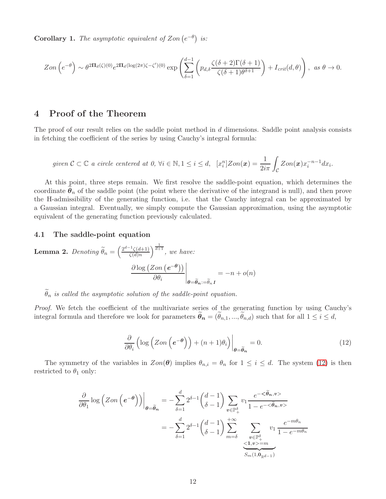**Corollary 1.** The asymptotic equivalent of Zon  $(e^{-\theta})$  is:

$$
Zon\left(e^{-\theta}\right) \sim \theta^{2\Pi_d(\zeta)(0)} e^{2\Pi_d(\log(2\pi)\zeta - \zeta')(0)} \exp\left(\sum_{\delta=1}^{d-1} \left(p_{d,\delta} \frac{\zeta(\delta+2)\Gamma(\delta+1)}{\zeta(\delta+1)\theta^{\delta+1}}\right) + I_{crit}(d,\theta)\right), \text{ as } \theta \to 0.
$$

# <span id="page-11-0"></span>4 Proof of the Theorem

The proof of our result relies on the saddle point method in d dimensions. Saddle point analysis consists in fetching the coefficient of the series by using Cauchy's integral formula:

given 
$$
C \subset \mathbb{C}
$$
 a circle centered at 0,  $\forall i \in \mathbb{N}, 1 \leq i \leq d$ ,  $[x_i^n] \text{Zon}(\mathbf{x}) = \frac{1}{2i\pi} \int_C \text{Zon}(\mathbf{x}) x_i^{-n-1} dx_i$ .

At this point, three steps remain. We first resolve the saddle-point equation, which determines the coordinate  $\tilde{\theta}_n$  of the saddle point (the point where the derivative of the integrand is null), and then prove the H-admissibility of the generating function, i.e. that the Cauchy integral can be approximated by a Gaussian integral. Eventually, we simply compute the Gaussian approximation, using the asymptotic equivalent of the generating function previously calculated.

### 4.1 The saddle-point equation

**Lemma 2.** Denoting 
$$
\widetilde{\theta}_n = \left(\frac{2^{d-1}\zeta(d+1)}{\zeta(d)n}\right)^{\frac{1}{d+1}}
$$
, we have:  

$$
\frac{\partial \log (Zon (e^{-\theta}))}{\partial \theta_i}\Big|_{\theta = \widetilde{\theta}_n := \widetilde{\theta}_n} = -n + o(n)
$$

 $\theta_n$  is called the asymptotic solution of the saddle-point equation.

Proof. We fetch the coefficient of the multivariate series of the generating function by using Cauchy's integral formula and therefore we look for parameters  $\tilde{\theta}_n = (\tilde{\theta}_{n,1},...,\tilde{\theta}_{n,d})$  such that for all  $1 \leq i \leq d$ ,

<span id="page-11-1"></span>
$$
\frac{\partial}{\partial \theta_i} \left( \log \left( Zon \left( e^{-\theta} \right) \right) + (n+1)\theta_i \right) \Big|_{\theta = \widetilde{\theta}_n} = 0. \tag{12}
$$

The symmetry of the variables in  $Zon(\theta)$  implies  $\theta_{n,i} = \theta_n$  for  $1 \leq i \leq d$ . The system [\(12\)](#page-11-1) is then restricted to  $\theta_1$  only:

$$
\frac{\partial}{\partial \theta_1} \log \left( Zon \left( e^{-\theta} \right) \right) \Big|_{\theta = \tilde{\theta}_n} = -\sum_{\delta=1}^d 2^{\delta-1} {d-1 \choose \delta-1} \sum_{v \in \mathbb{P}_+^{\delta}} v_1 \frac{e^{-\langle \tilde{\theta}_n, v \rangle}}{1 - e^{-\langle \tilde{\theta}_n, v \rangle}}
$$

$$
= -\sum_{\delta=1}^d 2^{\delta-1} {d-1 \choose \delta-1} \sum_{m=\delta}^{+\infty} \sum_{\substack{v \in \mathbb{P}_+^{\delta} \\ \leq 1, v \rangle = m}} v_1 \frac{e^{-m\theta_n}}{1 - e^{-m\theta_n}}
$$

$$
\sum_{S_m(1, 0_{\mathbb{R}^{d-1}})} \frac{e^{-m\theta_n}}{1 - e^{-m\theta_n}}
$$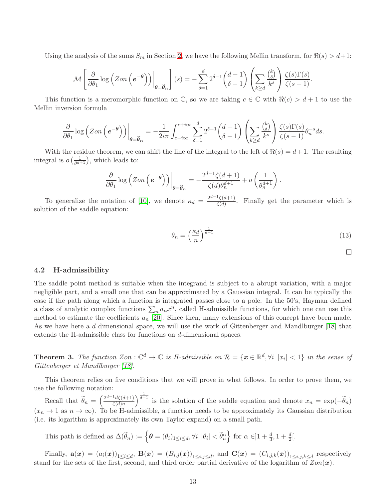Using the analysis of the sums  $S_m$  in Section [2,](#page-4-0) we have the following Mellin transform, for  $\Re(s) > d+1$ :

$$
\mathcal{M}\left[\left.\frac{\partial}{\partial\theta_1}\log\left(Zon\left(e^{-\theta}\right)\right)\right|_{\theta=\widetilde{\theta}_n}\right](s)=-\sum_{\delta=1}^d 2^{\delta-1}\binom{d-1}{\delta-1}\left(\sum_{k\geq d}\frac{\binom{k}{\delta}}{k^s}\right)\frac{\zeta(s)\Gamma(s)}{\zeta(s-1)}.
$$

This function is a meromorphic function on  $\mathbb{C}$ , so we are taking  $c \in \mathbb{C}$  with  $\Re(c) > d + 1$  to use the Mellin inversion formula

$$
\frac{\partial}{\partial \theta_1} \log \left( Zon \left( e^{-\theta} \right) \right) \Big|_{\theta = \widetilde{\theta}_n} = -\frac{1}{2i\pi} \int_{c-i\infty}^{c+i\infty} \sum_{\delta=1}^d 2^{\delta-1} {d-1 \choose \delta-1} \left( \sum_{k \geq d} \frac{{k \choose \delta}}{k^s} \right) \frac{\zeta(s)\Gamma(s)}{\zeta(s-1)} \theta_n^{-s} ds.
$$

With the residue theorem, we can shift the line of the integral to the left of  $\Re(s) = d+1$ . The resulting integral is  $o\left(\frac{1}{\theta^{d}}\right)$  $\frac{1}{\theta^{d+1}}$ , which leads to:

$$
\frac{\partial}{\partial \theta_1} \log \left( Zon \left( e^{-\theta} \right) \right) \Big|_{\theta = \widetilde{\theta}_n} = -\frac{2^{d-1} \zeta(d+1)}{\zeta(d) \theta_n^{d+1}} + o \left( \frac{1}{\theta_n^{d+1}} \right).
$$

To generalize the notation of [\[10\]](#page-19-3), we denote  $\kappa_d = \frac{2^{d-1}\zeta(d+1)}{\zeta(d)}$  $\frac{\zeta(a+1)}{\zeta(d)}$ . Finally get the parameter which is solution of the saddle equation:

$$
\theta_n = \left(\frac{\kappa_d}{n}\right)^{\frac{1}{d+1}}\tag{13}
$$

### 4.2 H-admissibility

The saddle point method is suitable when the integrand is subject to a abrupt variation, with a major negligible part, and a small one that can be approximated by a Gaussian integral. It can be typically the case if the path along which a function is integrated passes close to a pole. In the 50's, Hayman defined a class of analytic complex functions  $\sum_n a_n x^n$ , called H-admissible functions, for which one can use this method to estimate the coefficients  $a_n$  [\[20\]](#page-19-18). Since then, many extensions of this concept have been made. As we have here a d dimensional space, we will use the work of Gittenberger and Mandlburger [\[18\]](#page-19-14) that extends the H-admissible class for functions on d-dimensional spaces.

**Theorem 3.** The function  $Z_{on} : \mathbb{C}^d \to \mathbb{C}$  is H-admissible on  $\mathcal{R} = \{x \in \mathbb{R}^d, \forall i \ |x_i| < 1\}$  in the sense of Gittenberger et Mandlburger [\[18\]](#page-19-14).

This theorem relies on five conditions that we will prove in what follows. In order to prove them, we use the following notation:

Recall that  $\widetilde{\theta}_n = \left(\frac{2^{d-1}d\zeta(d+1)}{\zeta(d)n}\right)$  $\zeta(d)n$  $\int_{0}^{\frac{1}{d+1}}$  is the solution of the saddle equation and denote  $x_n = \exp(-\tilde{\theta}_n)$  $(x_n \to 1 \text{ as } n \to \infty)$ . To be H-admissible, a function needs to be approximately its Gaussian distribution (i.e. its logarithm is approximately its own Taylor expand) on a small path.

This path is defined as  $\Delta(\widetilde{\theta}_n) := \left\{ \boldsymbol{\theta} = (\theta_i)_{1 \leq i \leq d}, \forall i \ |\theta_i| < \widetilde{\theta}_n^{\alpha} \right\}$  for  $\alpha \in ]1 + \frac{d}{3}, 1 + \frac{d}{2}].$ 

Finally,  $\mathbf{a}(\boldsymbol{x}) = (a_i(\boldsymbol{x}))_{1 \leq i \leq d}$ ,  $\mathbf{B}(\boldsymbol{x}) = (B_{i,j}(\boldsymbol{x}))_{1 \leq i,j \leq d}$ , and  $\mathbf{C}(\boldsymbol{x}) = (C_{i,j,k}(\boldsymbol{x}))_{1 \leq i,j,k \leq d}$  respectively stand for the sets of the first, second, and third order partial derivative of the logarithm of  $Zon(x)$ .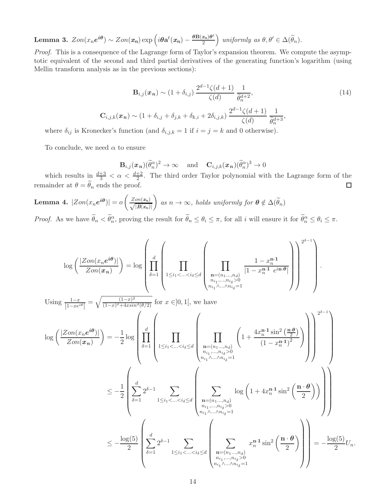Lemma 3.  $Zon(x_n e^{i\theta}) \sim Zon(x_n) \exp\left(i\theta \mathbf{a}^t(x_n) - \frac{\theta \mathbf{B}(x_n) \theta^t}{2}\right)$ 2  $\Big)$  uniformly as  $\theta, \theta' \in \Delta(\widetilde{\theta}_n)$ .

Proof. This is a consequence of the Lagrange form of Taylor's expansion theorem. We compute the asymptotic equivalent of the second and third partial derivatives of the generating function's logarithm (using Mellin transform analysis as in the previous sections):

$$
\mathbf{B}_{i,j}(\boldsymbol{x}_n) \sim (1 + \delta_{i,j}) \frac{2^{d-1} \zeta(d+1)}{\zeta(d)} \frac{1}{\tilde{\theta}_n^{d+2}},
$$
\n
$$
\mathbf{C}_{i,j,k}(\boldsymbol{x}_n) \sim (1 + \delta_{i,j} + \delta_{j,k} + \delta_{k,i} + 2\delta_{i,j,k}) \frac{2^{d-1} \zeta(d+1)}{\zeta(d)} \frac{1}{\tilde{\theta}_n^{d+3}},
$$
\n
$$
\mathbf{L}_{i,j,k}(\boldsymbol{x}_n) \sim (1 + \delta_{i,j} + \delta_{j,k} + \delta_{k,i} + 2\delta_{i,j,k}) \frac{2^{d-1} \zeta(d+1)}{\zeta(d)} \frac{1}{\tilde{\theta}_n^{d+3}},
$$
\n(14)

where  $\delta_{ij}$  is Kronecker's function (and  $\delta_{i,j,k} = 1$  if  $i = j = k$  and 0 otherwise).

To conclude, we need  $\alpha$  to ensure

<span id="page-13-0"></span>
$$
\mathbf{B}_{i,j}(\boldsymbol{x}_n)(\widetilde{\theta}_n^{\alpha})^2 \to \infty \quad \text{and} \quad \mathbf{C}_{i,j,k}(\boldsymbol{x}_n)(\widetilde{\theta}_n^{\alpha})^3 \to 0
$$

which results in  $\frac{d+3}{3} < \alpha < \frac{d+2}{2}$ . The third order Taylor polynomial with the Lagrange form of the remainder at  $\theta = \theta_n$  ends the proof.  $\Box$ 

<span id="page-13-1"></span>Lemma 4.  $|Zon(x_n e^{i\theta})|=o\left($  $\frac{Zon(x_n)}{\sqrt{B(x_n)}}$  $|\overline{B(x_n)}|$ as  $n \to \infty$ , holds uniformly for  $\boldsymbol{\theta} \notin \Delta(\widetilde{\theta}_n)$ *Proof.* As we have  $\tilde{\theta}_n < \tilde{\theta}_n^{\alpha}$ , proving the result for  $\tilde{\theta}_n \leq \theta_i \leq \pi$ , for all i will ensure it for  $\tilde{\theta}_n^{\alpha} \leq \theta_i \leq \pi$ .

$$
\log\left(\frac{|Zon(x_n e^{i\theta})|}{Zon(x_n)}\right) = \log\left(\prod_{\delta=1}^d \left(\prod_{1 \le i_1 < \ldots < i_\delta \le d} \left(\prod_{\substack{n=(n_1,\ldots,n_d) \\ n_i_1,\ldots,n_{i_\delta} > 0}} \frac{1 - x_n^{n-1}}{|1 - x_n^{n-1} e^{i\pi \theta}|}\right)\right)^{2^{\delta-1}}\right).
$$
  
\nUsing  $\frac{1-x}{|1 - xe^{i\theta}|} = \sqrt{\frac{(1-x)^2}{(1-x)^2 + 4x\sin^2(\theta/2)}}$  for  $x \in ]0,1[$ , we have  
\n
$$
\log\left(\frac{|Zon(x_n e^{i\theta})|}{Zon(x_n)}\right) = -\frac{1}{2}\log\left(\prod_{\substack{\delta=1 \\ \delta=1}}^d \left(\prod_{1 \le i_1 < \ldots < i_\delta \le d} \left(\prod_{\substack{n=(n_1,\ldots,n_d) \\ n_i_1,\ldots,n_{i_\delta} > 0}} \left(1 + \frac{4x_n^{n-1}\sin^2\left(\frac{n\theta}{2}\right)}{(1 - x_n^{n-1})^2}\right)\right)\right)^{2^{\delta-1}}\right)
$$
\n
$$
\le -\frac{1}{2}\left(\sum_{\delta=1}^d 2^{\delta-1} \sum_{1 \le i_1 < \ldots < i_\delta \le d} \left(\sum_{\substack{n=(n_1,\ldots,n_d) \\ n_i_1,\ldots,n_{i_\delta} > 0}} \log\left(1 + 4x_n^{n-1}\sin^2\left(\frac{n\cdot\theta}{2}\right)\right)\right)\right)
$$
\n
$$
\le -\frac{\log(5)}{2}\left(\sum_{\delta=1}^d 2^{\delta-1} \sum_{1 \le i_1 < \ldots < i_\delta \le d} \left(\sum_{\substack{n=(n_1,\ldots,n_d) \\ n_i_1,\ldots,n_{i_\delta} > 0}} x_n^{n-1}\sin^2\left(\frac{n\cdot\theta}{2}\right)\right)\right) = -\frac{\log(5)}{2}U_n.
$$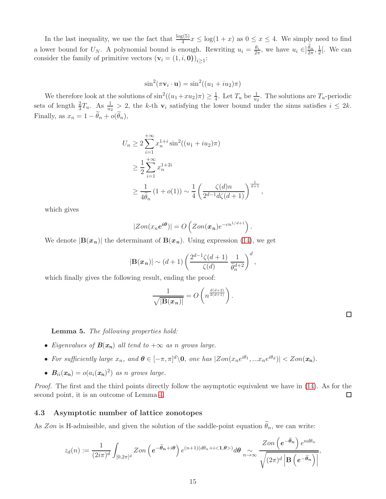In the last inequality, we use the fact that  $\frac{\log(5)}{4}x \le \log(1+x)$  as  $0 \le x \le 4$ . We simply need to find a lower bound for  $U_N$ . A polynomial bound is enough. Rewriting  $u_i = \frac{\theta_i}{2\pi}$ , we have  $u_i \in ]\frac{\theta_n}{2\pi}, \frac{1}{2\pi}]$  $\frac{1}{2}$ [. We can consider the family of primitive vectors  $(\mathbf{v}_i = (1, i, \mathbf{0}))_{i \geq 1}$ :

$$
\sin^2(\pi \mathbf{v}_i \cdot \mathbf{u}) = \sin^2((u_1 + iu_2)\pi)
$$

We therefore look at the solutions of  $\sin^2((u_1+ x u_2)\pi) \geq \frac{1}{4}$ . Let  $T_u$  be  $\frac{1}{u_2}$ . The solutions are  $T_u$ -periodic sets of length  $\frac{2}{3}T_u$ . As  $\frac{1}{u_2} > 2$ , the k-th  $\mathbf{v}_i$  satisfying the lower bound under the sinus satisfies  $i \leq 2k$ . Finally, as  $x_n = 1 - \theta_n + o(\theta_n)$ ,

$$
U_n \ge 2 \sum_{i=1}^{+\infty} x_n^{1+i} \sin^2((u_1 + iu_2)\pi)
$$
  
\n
$$
\ge \frac{1}{2} \sum_{i=1}^{+\infty} x_n^{1+2i}
$$
  
\n
$$
\ge \frac{1}{4\widetilde{\theta}_n} (1 + o(1)) \sim \frac{1}{4} \left( \frac{\zeta(d)n}{2^{d-1} d\zeta(d+1)} \right)^{\frac{1}{d+1}}
$$

,

which gives

$$
|Zon(x_n e^{i\theta})| = O\left(Zon(x_n)e^{-cn^{1/d+1}}\right).
$$

We denote  $|\mathbf{B}(x_n)|$  the determinant of  $\mathbf{B}(x_n)$ . Using expression [\(14\)](#page-13-0), we get

$$
|\mathbf{B}(\boldsymbol{x}_n)| \sim (d+1) \left( \frac{2^{d-1} \zeta(d+1)}{\zeta(d)} \frac{1}{\tilde{\theta}_n^{d+2}} \right)^d,
$$

which finally gives the following result, ending the proof:

$$
\frac{1}{\sqrt{|\mathbf{B}(\boldsymbol{x}_n)|}} = O\left(n^{\frac{d(d+2)}{2(d+1)}}\right).
$$

Lemma 5. The following properties hold:

- Eigenvalues of  $B(x_n)$  all tend to  $+\infty$  as n grows large.
- For sufficiently large  $x_n$ , and  $\boldsymbol{\theta} \in [-\pi, \pi]^d \backslash \mathbf{0}$ , one has  $|Zon(x_n e^{i\theta_1}, ... x_n e^{i\theta_d})| < Zon(x_n)$ .
- $B_{ii}(x_n) = o(a_i(x_n)^2)$  as n grows large.

Proof. The first and the third points directly follow the asymptotic equivalent we have in [\(14\)](#page-13-0). As for the second point, it is an outcome of Lemma [4.](#page-13-1)  $\Box$ 

### 4.3 Asymptotic number of lattice zonotopes

As Zon is H-admissible, and given the solution of the saddle-point equation  $\theta_n$ , we can write:

$$
z_d(n) := \frac{1}{(2i\pi)^d} \int_{[0,2\pi]^d} Zon\left(e^{-\widetilde{\boldsymbol{\theta}}_n + i\boldsymbol{\theta}}\right) e^{(n+1)(d\theta_n + i\langle 1,\boldsymbol{\theta} \rangle)} d\boldsymbol{\theta} \underset{n \to \infty}{\sim} \frac{Zon\left(e^{-\widetilde{\boldsymbol{\theta}}_n}\right) e^{nd\theta_n}}{\sqrt{(2\pi)^d \left|\mathbf{B}\left(e^{-\widetilde{\boldsymbol{\theta}}_n}\right)\right|}},
$$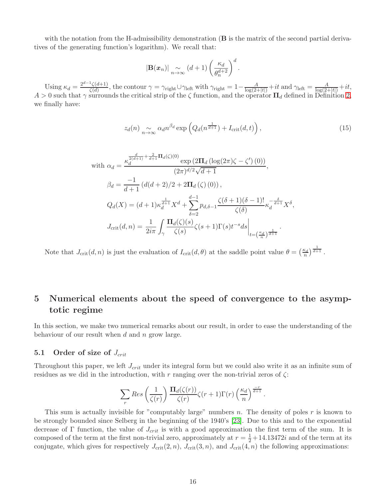with the notation from the H-admissibility demonstration  $(B$  is the matrix of the second partial derivatives of the generating function's logarithm). We recall that:

<span id="page-15-0"></span>
$$
|\mathbf{B}(\boldsymbol{x}_n)| \underset{n \to \infty}{\sim} (d+1) \left(\frac{\kappa_d}{\theta_n^{d+2}}\right)^d.
$$

Using  $\kappa_d = \frac{2^{d-1}\zeta(d+1)}{\zeta(d)}$  $\frac{\gamma(\zeta(d+1))}{\zeta(d)}$ , the contour  $\gamma = \gamma_{\text{right}} \cup \gamma_{\text{left}}$  with  $\gamma_{\text{right}} = 1 - \frac{A}{\log(2+|t|)} + it$  and  $\gamma_{\text{left}} = \frac{A}{\log(2+|t|)} + it$ ,  $A > 0$  such that  $\gamma$  surrounds the critical strip of the  $\zeta$  function, and the operator  $\Pi_d$  defined in Definition [2,](#page-9-0) we finally have:

$$
z_d(n) \underset{n \to \infty}{\sim} \alpha_d n^{\beta_d} \exp\left(Q_d(n^{\frac{1}{d+1}}) + I_{\rm crit}(d,t)\right),\tag{15}
$$

with 
$$
\alpha_d = \frac{\kappa_d^{\frac{d}{2(d+1)} + \frac{2}{d+1} \Pi_d(\zeta)(0)} \exp(2\Pi_d(\log(2\pi)\zeta - \zeta')(0))}{(2\pi)^{d/2}\sqrt{d+1}},
$$

$$
\beta_d = \frac{-1}{d+1} \left( d(d+2)/2 + 2\Pi_d(\zeta)(0) \right),
$$

$$
Q_d(X) = (d+1)\kappa_d^{\frac{1}{d+1}} X^d + \sum_{\delta=2}^{d-1} p_{d,\delta-1} \frac{\zeta(\delta+1)(\delta-1)!}{\zeta(\delta)} \kappa_d^{\frac{\delta}{d+1}} X^{\delta},
$$

$$
J_{\text{crit}}(d,n) = \frac{1}{2i\pi} \int_{\gamma} \frac{\Pi_d(\zeta)(s)}{\zeta(s)} \zeta(s+1) \Gamma(s) t^{-s} ds \Big|_{t=\left(\frac{\kappa_d}{n}\right)^{\frac{1}{d+1}}}.
$$

Note that  $J_{\text{crit}}(d, n)$  is just the evaluation of  $I_{\text{crit}}(d, \theta)$  at the saddle point value  $\theta = \left(\frac{\kappa_d}{n}\right)^{\frac{1}{d+1}}$ .

# <span id="page-15-1"></span>5 Numerical elements about the speed of convergence to the asymptotic regime

In this section, we make two numerical remarks about our result, in order to ease the understanding of the behaviour of our result when  $d$  and  $n$  grow large.

### 5.1 Order of size of  $J_{crit}$

Throughout this paper, we left  $J_{crit}$  under its integral form but we could also write it as an infinite sum of residues as we did in the introduction, with r ranging over the non-trivial zeros of  $\zeta$ :

$$
\sum_r Res\left(\frac{1}{\zeta(r)}\right)\frac{\mathbf{\Pi}_d(\zeta(r))}{\zeta(r)}\zeta(r+1)\Gamma(r)\left(\frac{\kappa_d}{n}\right)^{\frac{-r}{d+1}}
$$

.

This sum is actually invisible for "computably large" numbers n. The density of poles r is known to be strongly bounded since Selberg in the beginning of the 1940's [\[23\]](#page-19-19). Due to this and to the exponential decrease of Γ function, the value of  $J_{crit}$  is with a good approximation the first term of the sum. It is composed of the term at the first non-trivial zero, approximately at  $r = \frac{1}{2} + 14.13472i$  and of the term at its conjugate, which gives for respectively  $J_{\text{crit}}(2, n)$ ,  $J_{\text{crit}}(3, n)$ , and  $J_{\text{crit}}(4, n)$  the following approximations: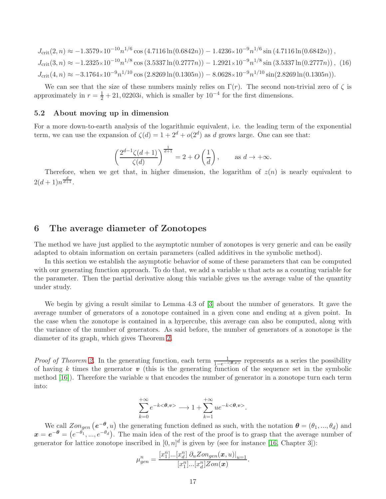$$
J_{\text{crit}}(2,n) \approx -1.3579 \times 10^{-10} n^{1/6} \cos (4.7116 \ln(0.6842n)) - 1.4236 \times 10^{-9} n^{1/6} \sin (4.7116 \ln(0.6842n)),
$$
  
\n
$$
J_{\text{crit}}(3,n) \approx -1.2325 \times 10^{-10} n^{1/8} \cos (3.5337 \ln(0.2777n)) - 1.2921 \times 10^{-9} n^{1/8} \sin (3.5337 \ln(0.2777n)),
$$
 (16)  
\n
$$
J_{\text{crit}}(4,n) \approx -3.1764 \times 10^{-9} n^{1/10} \cos (2.8269 \ln(0.1305n)) - 8.0628 \times 10^{-9} n^{1/10} \sin(2.8269 \ln(0.1305n)).
$$

We can see that the size of these numbers mainly relies on  $\Gamma(r)$ . The second non-trivial zero of  $\zeta$  is approximately in  $r = \frac{1}{2} + 21,02203i$ , which is smaller by  $10^{-4}$  for the first dimensions.

#### 5.2 About moving up in dimension

For a more down-to-earth analysis of the logarithmic equivalent, i.e. the leading term of the exponential term, we can use the expansion of  $\zeta(d) = 1 + 2^d + o(2^d)$  as d grows large. One can see that:

<span id="page-16-0"></span>
$$
\left(\frac{2^{d-1}\zeta(d+1)}{\zeta(d)}\right)^{\frac{1}{d+1}} = 2 + O\left(\frac{1}{d}\right), \quad \text{as } d \to +\infty.
$$

Therefore, when we get that, in higher dimension, the logarithm of  $z(n)$  is nearly equivalent to  $2(d+1)n^{\frac{d}{d+1}}$ .

# 6 The average diameter of Zonotopes

The method we have just applied to the asymptotic number of zonotopes is very generic and can be easily adapted to obtain information on certain parameters (called additives in the symbolic method).

In this section we establish the asymptotic behavior of some of these parameters that can be computed with our generating function approach. To do that, we add a variable  $u$  that acts as a counting variable for the parameter. Then the partial derivative along this variable gives us the average value of the quantity under study.

We begin by giving a result similar to Lemma 4.3 of [\[3\]](#page-18-4) about the number of generators. It gave the average number of generators of a zonotope contained in a given cone and ending at a given point. In the case when the zonotope is contained in a hypercube, this average can also be computed, along with the variance of the number of generators. As said before, the number of generators of a zonotope is the diameter of its graph, which gives Theorem [2.](#page-2-0)

*Proof of Theorem [2.](#page-2-0)* In the generating function, each term  $\frac{1}{1-e^{-\langle\theta,v\rangle}}$  represents as a series the possibility of having k times the generator  $\boldsymbol{v}$  (this is the generating function of the sequence set in the symbolic method  $[16]$ . Therefore the variable u that encodes the number of generator in a zonotope turn each term into:

$$
\sum_{k=0}^{+\infty}e^{-k<\theta,v>}\longrightarrow 1+\sum_{k=1}^{+\infty}ue^{-k<\theta,v>}.
$$

We call  $Zon_{gen}$   $(e^{-\theta}, u)$  the generating function defined as such, with the notation  $\theta = (\theta_1, ..., \theta_d)$  and  $x = e^{-\theta} = (e^{-\theta_1}, ..., e^{-\theta_d})$ . The main idea of the rest of the proof is to grasp that the average number of generator for lattice zonotope inscribed in  $[0, n]^d$  is given by (see for instance [\[16,](#page-19-11) Chapter 3]):

$$
\mu_{gen}^n = \frac{[x_1^n] \dots [x_d^n] \partial_u \text{Zon}_{gen}(\boldsymbol{x}, u)|_{u=1}}{[x_1^n] \dots [x_d^n] \text{Zon}(\boldsymbol{x})}.
$$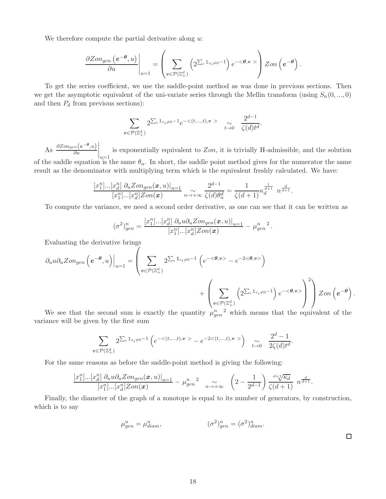We therefore compute the partial derivative along  $u$ :

$$
\left.\frac{\partial Zon_{gen}\left(\bm{e^{-\theta}},u\right)}{\partial u}\right|_{u=1}=\left(\sum_{\bm{v}\in\mathcal{P}(\mathbb{Z}_+^d)}\left(2^{\sum_i1_{v_i\neq 0}-1}\right)e^{-<\bm{\theta},\bm{v}}> \right)Zon\left(\bm{e^{-\theta}}\right).
$$

To get the series coefficient, we use the saddle-point method as was done in previous sections. Then we get the asymptotic equivalent of the uni-variate series through the Mellin transform (using  $S_n(0, ..., 0)$ ) and then  $P_d$  from previous sections):

$$
\sum_{\mathbf{v}\in\mathcal{P}(\mathbb{Z}_+^d)} 2^{\sum_i \mathbb{1}_{v_i\neq 0}-1} e^{-\langle (t,\ldots,t), \mathbf{v}\rangle} \quad \underset{t\to 0}{\sim} \quad \frac{2^{d-1}}{\langle (d)t^d}.
$$

As  $\frac{\partial Z_{ongen}(e^{-\theta},u)}{\partial u}$  $\Big|_{u=1}$ is exponentially equivalent to  $Zon$ , it is trivially H-admissible, and the solution of the saddle equation is the same  $\theta_n$ . In short, the saddle point method gives for the numerator the same result as the denominator with multiplying term which is the equivalent freshly calculated. We have:

$$
\frac{[x_1^n]...[x_d^n]\;\partial_u\text{Zon}_{gen}(\boldsymbol{x},u)|_{u=1}}{[x_1^n]...[x_d^n]\text{Zon}(\boldsymbol{x})}\underset{n\rightarrow +\infty}{\sim}\frac{2^{d-1}}{\zeta(d)\theta_n^d}=\frac{1}{\zeta(d+1)}\kappa_d^{\frac{1}{d+1}}\ n^{\frac{d}{d+1}}.
$$

To compute the variance, we need a second order derivative, as one can see that it can be written as

$$
(\sigma^2)_{gen}^n = \frac{[x_1^n] ... [x_d^n] \partial_u u \partial_u Z \text{on}_{gen}(\boldsymbol{x},u)|_{u=1}}{[x_1^n] ... [x_d^n] Z \text{on}(\boldsymbol{x})} - \mu_{gen}^n{}^2.
$$

Evaluating the derivative brings

$$
\partial_u u \partial_u \text{Zon}_{gen} \left( e^{-\theta}, u \right) \Big|_{u=1} = \left( \sum_{v \in \mathcal{P}(\mathbb{Z}_+^d)} 2^{\sum_i \mathbb{1}_{v_i \neq 0} - 1} \left( e^{-\langle \theta, v \rangle} - e^{-2 \langle \theta, v \rangle} \right) + \left( \sum_{v \in \mathcal{P}(\mathbb{Z}_+^d)} \left( 2^{\sum_i \mathbb{1}_{v_i \neq 0} - 1} \right) e^{-\langle \theta, v \rangle} \right)^2 \right) \text{Zon} \left( e^{-\theta} \right).
$$

We see that the second sum is exactly the quantity  $\mu_{gen}^n{}^2$  which means that the equivalent of the variance will be given by the first sum

$$
\sum_{v \in \mathcal{P}(\mathbb{Z}_+^d)} 2^{\sum_i 1_{v_i \neq 0} - 1} \left( e^{-\langle (t, \ldots, t), v \rangle} - e^{-2 \langle (t, \ldots, t), v \rangle} \right) \quad \underset{t \to 0}{\sim} \quad \frac{2^d - 1}{2 \zeta(d) t^d}.
$$

For the same reasons as before the saddle-point method is giving the following:

$$
\frac{[x_1^n]...[x_d^n]\;\partial_u u \partial_u \text{Zon}_{gen}(\pmb{x},u)|_{u=1}}{[x_1^n]...[x_d^n]\text{Zon}(\pmb{x})}-\mu_{gen}^n{}^2\quad \sim_{n\to +\infty}\quad \left(2-\frac{1}{2^{d-1}}\right)\frac{\frac{d+\sqrt{K_d}}{\sqrt{K_d}}}{\zeta(d+1)}\ n^{\frac{d}{d+1}}.
$$

Finally, the diameter of the graph of a zonotope is equal to its number of generators, by construction, which is to say

$$
\mu_{gen}^n = \mu_{diam}^n, \qquad (\sigma^2)_{gen}^n = (\sigma^2)_{diam}^n.
$$

 $\Box$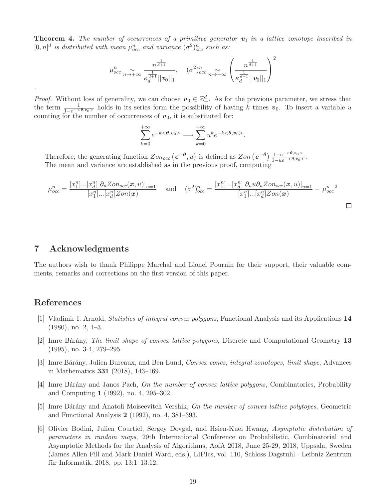**Theorem 4.** The number of occurrences of a primitive generator  $v_0$  in a lattice zonotope inscribed in  $[0,n]^d$  is distributed with mean  $\mu_{occ}^n$  and variance  $(\sigma^2)_{occ}^n$  such as:

$$
\mu_{occ}^n \underset{n \to +\infty}{\sim} \frac{n^{\frac{1}{d+1}}}{\kappa_d^{\frac{1}{d+1}} ||\mathbf{v}_0||_1}, \quad (\sigma^2)_{occ}^n \underset{n \to +\infty}{\sim} \left(\frac{n^{\frac{1}{d+1}}}{\kappa_d^{\frac{1}{d+1}} ||\mathbf{v}_0||_1}\right)^2
$$

*Proof.* Without loss of generality, we can choose  $v_0 \in \mathbb{Z}_+^d$ . As for the previous parameter, we stress that the term  $\frac{1}{1-e^{-\langle \theta, v_0 \rangle}}$  holds in its series form the possibility of having k times  $v_0$ . To insert a variable u counting for the number of occurrences of  $v_0$ , it is substituted for:

$$
\sum_{k=0}^{+\infty} e^{-k < \theta, v_0 > \lambda} \sum_{k=0}^{+\infty} u^k e^{-k < \theta, v_0 > \lambda}.
$$

Therefore, the generating function  $Zon_{occ} (e^{-\theta}, u)$  is defined as  $Zon (e^{-\theta}) \frac{1 - e^{-\langle \theta, v_0 \rangle}}{1 - ue^{-\langle \theta, v_0 \rangle}}$ . The mean and variance are established as in the previous proof, computing

$$
\mu_{occ}^{n} = \frac{[x_{1}^{n}]...[x_{d}^{n}] \partial_{u} Z_{onocc}(\boldsymbol{x}, u)|_{u=1}}{[x_{1}^{n}]...[x_{d}^{n}] Z_{on}(\boldsymbol{x})}
$$
 and 
$$
(\sigma^{2})_{occ}^{n} = \frac{[x_{1}^{n}]...[x_{d}^{n}] \partial_{u} u \partial_{u} Z_{onocc}(\boldsymbol{x}, u)|_{u=1}}{[x_{1}^{n}]...[x_{d}^{n}] Z_{on}(\boldsymbol{x})}
$$

# 7 Acknowledgments

The authors wish to thank Philippe Marchal and Lionel Pournin for their support, their valuable comments, remarks and corrections on the first version of this paper.

# <span id="page-18-0"></span>References

.

- [1] Vladimir I. Arnold, Statistics of integral convex polygons, Functional Analysis and its Applications 14 (1980), no. 2, 1–3.
- <span id="page-18-3"></span>[2] Imre Bárány, *The limit shape of convex lattice polygons*, Discrete and Computational Geometry 13 (1995), no. 3-4, 279–295.
- <span id="page-18-4"></span>[3] Imre Bárány, Julien Bureaux, and Ben Lund, Convex cones, integral zonotopes, limit shape, Advances in Mathematics 331 (2018), 143–169.
- <span id="page-18-1"></span>[4] Imre Bárány and Janos Pach, On the number of convex lattice polygons, Combinatorics, Probability and Computing 1 (1992), no. 4, 295–302.
- <span id="page-18-2"></span>[5] Imre Bárány and Anatoli Moiseevitch Vershik, On the number of convex lattice polytopes, Geometric and Functional Analysis 2 (1992), no. 4, 381–393.
- <span id="page-18-5"></span>[6] Olivier Bodini, Julien Courtiel, Sergey Dovgal, and Hsien-Kuei Hwang, Asymptotic distribution of parameters in random maps, 29th International Conference on Probabilistic, Combinatorial and Asymptotic Methods for the Analysis of Algorithms, AofA 2018, June 25-29, 2018, Uppsala, Sweden (James Allen Fill and Mark Daniel Ward, eds.), LIPIcs, vol. 110, Schloss Dagstuhl - Leibniz-Zentrum für Informatik, 2018, pp.  $13:1-13:12$ .